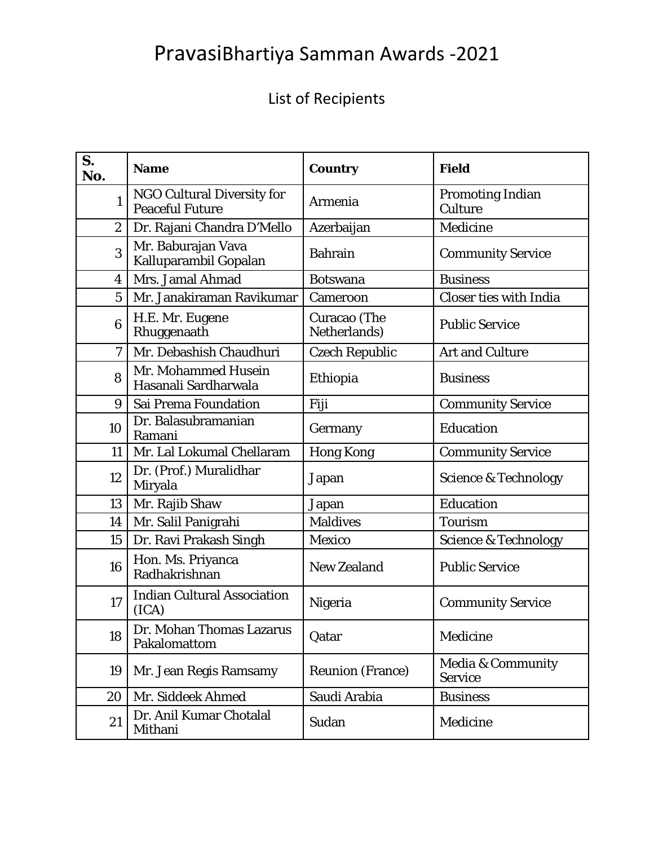## PravasiBhartiya Samman Awards ‐2021

## List of Recipients

| S.<br>No.        | <b>Name</b>                                                 | <b>Country</b>               | <b>Field</b>                                   |
|------------------|-------------------------------------------------------------|------------------------------|------------------------------------------------|
| $\mathbf{1}$     | <b>NGO Cultural Diversity for</b><br><b>Peaceful Future</b> | Armenia                      | <b>Promoting Indian</b><br>Culture             |
| $\overline{2}$   | Dr. Rajani Chandra D'Mello                                  | Azerbaijan                   | Medicine                                       |
| 3                | Mr. Baburajan Vava<br>Kalluparambil Gopalan                 | <b>Bahrain</b>               | <b>Community Service</b>                       |
| 4                | Mrs. Jamal Ahmad                                            | <b>Botswana</b>              | <b>Business</b>                                |
| $\overline{5}$   | Mr. Janakiraman Ravikumar                                   | Cameroon                     | <b>Closer ties with India</b>                  |
| $\boldsymbol{6}$ | H.E. Mr. Eugene<br>Rhuggenaath                              | Curacao (The<br>Netherlands) | <b>Public Service</b>                          |
| $\overline{7}$   | Mr. Debashish Chaudhuri                                     | <b>Czech Republic</b>        | <b>Art and Culture</b>                         |
| 8                | Mr. Mohammed Husein<br>Hasanali Sardharwala                 | Ethiopia                     | <b>Business</b>                                |
| 9                | Sai Prema Foundation                                        | Fiji                         | <b>Community Service</b>                       |
| 10               | Dr. Balasubramanian<br>Ramani                               | Germany                      | Education                                      |
| 11               | Mr. Lal Lokumal Chellaram                                   | <b>Hong Kong</b>             | <b>Community Service</b>                       |
| 12               | Dr. (Prof.) Muralidhar<br>Miryala                           | Japan                        | <b>Science &amp; Technology</b>                |
| 13               | Mr. Rajib Shaw                                              | Japan                        | Education                                      |
| 14               | Mr. Salil Panigrahi                                         | <b>Maldives</b>              | <b>Tourism</b>                                 |
| 15               | Dr. Ravi Prakash Singh                                      | Mexico                       | <b>Science &amp; Technology</b>                |
| 16               | Hon. Ms. Priyanca<br>Radhakrishnan                          | <b>New Zealand</b>           | <b>Public Service</b>                          |
| 17               | <b>Indian Cultural Association</b><br>(ICA)                 | Nigeria                      | <b>Community Service</b>                       |
| 18               | Dr. Mohan Thomas Lazarus<br>Pakalomattom                    | Qatar                        | Medicine                                       |
| 19               | Mr. Jean Regis Ramsamy                                      | <b>Reunion (France)</b>      | <b>Media &amp; Community</b><br><b>Service</b> |
| 20               | Mr. Siddeek Ahmed                                           | Saudi Arabia                 | <b>Business</b>                                |
| 21               | Dr. Anil Kumar Chotalal<br>Mithani                          | Sudan                        | Medicine                                       |